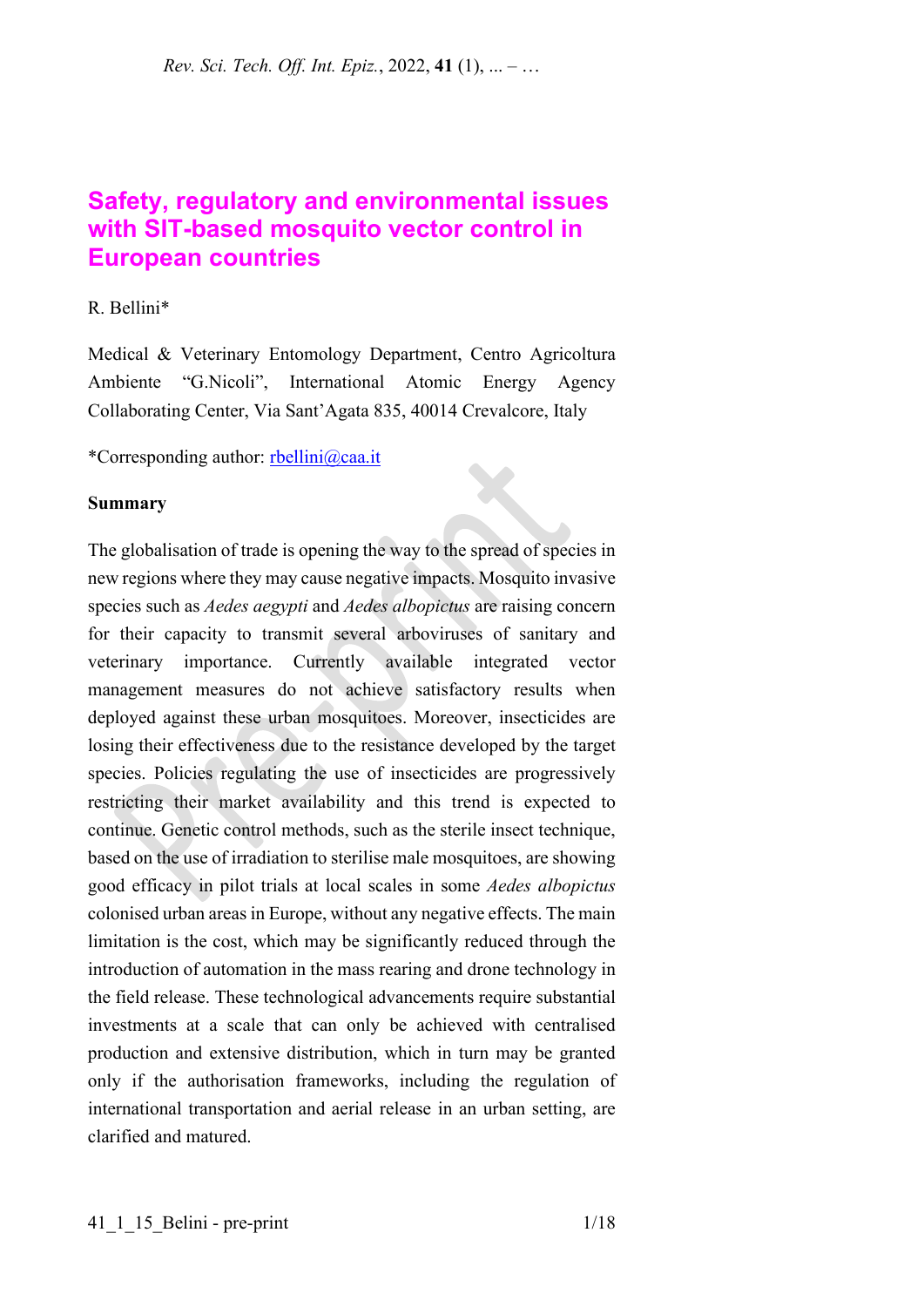# **Safety, regulatory and environmental issues with SIT-based mosquito vector control in European countries**

### R. Bellini\*

Medical & Veterinary Entomology Department, Centro Agricoltura Ambiente "G.Nicoli", International Atomic Energy Agency Collaborating Center, Via Sant'Agata 835, 40014 Crevalcore, Italy

\*Corresponding author: [rbellini@caa.it](mailto:rbellini@caa.it)

#### **Summary**

The globalisation of trade is opening the way to the spread of species in new regions where they may cause negative impacts. Mosquito invasive species such as *Aedes aegypti* and *Aedes albopictus* are raising concern for their capacity to transmit several arboviruses of sanitary and veterinary importance. Currently available integrated vector management measures do not achieve satisfactory results when deployed against these urban mosquitoes. Moreover, insecticides are losing their effectiveness due to the resistance developed by the target species. Policies regulating the use of insecticides are progressively restricting their market availability and this trend is expected to continue. Genetic control methods, such as the sterile insect technique, based on the use of irradiation to sterilise male mosquitoes, are showing good efficacy in pilot trials at local scales in some *Aedes albopictus* colonised urban areas in Europe, without any negative effects. The main limitation is the cost, which may be significantly reduced through the introduction of automation in the mass rearing and drone technology in the field release. These technological advancements require substantial investments at a scale that can only be achieved with centralised production and extensive distribution, which in turn may be granted only if the authorisation frameworks, including the regulation of international transportation and aerial release in an urban setting, are clarified and matured.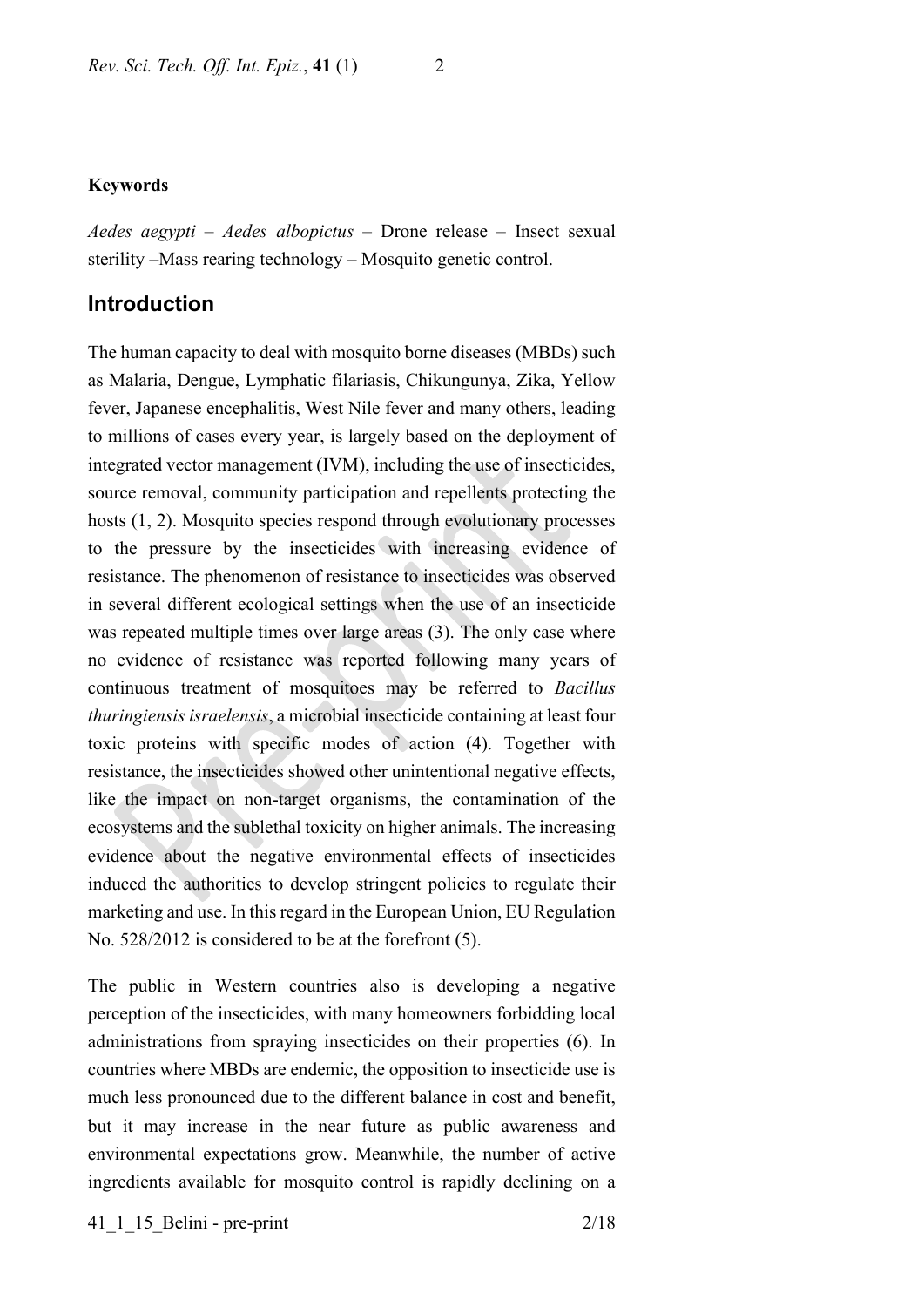#### **Keywords**

*Aedes aegypti* – *Aedes albopictus* – Drone release – Insect sexual sterility –Mass rearing technology – Mosquito genetic control.

### **Introduction**

The human capacity to deal with mosquito borne diseases (MBDs) such as Malaria, Dengue, Lymphatic filariasis, Chikungunya, Zika, Yellow fever, Japanese encephalitis, West Nile fever and many others, leading to millions of cases every year, is largely based on the deployment of integrated vector management (IVM), including the use of insecticides, source removal, community participation and repellents protecting the hosts (1, 2). Mosquito species respond through evolutionary processes to the pressure by the insecticides with increasing evidence of resistance. The phenomenon of resistance to insecticides was observed in several different ecological settings when the use of an insecticide was repeated multiple times over large areas (3). The only case where no evidence of resistance was reported following many years of continuous treatment of mosquitoes may be referred to *Bacillus thuringiensis israelensis*, a microbial insecticide containing at least four toxic proteins with specific modes of action (4). Together with resistance, the insecticides showed other unintentional negative effects, like the impact on non-target organisms, the contamination of the ecosystems and the sublethal toxicity on higher animals. The increasing evidence about the negative environmental effects of insecticides induced the authorities to develop stringent policies to regulate their marketing and use. In this regard in the European Union, EU Regulation No. 528/2012 is considered to be at the forefront (5).

The public in Western countries also is developing a negative perception of the insecticides, with many homeowners forbidding local administrations from spraying insecticides on their properties (6). In countries where MBDs are endemic, the opposition to insecticide use is much less pronounced due to the different balance in cost and benefit, but it may increase in the near future as public awareness and environmental expectations grow. Meanwhile, the number of active ingredients available for mosquito control is rapidly declining on a

41 1 15 Belini - pre-print 2/18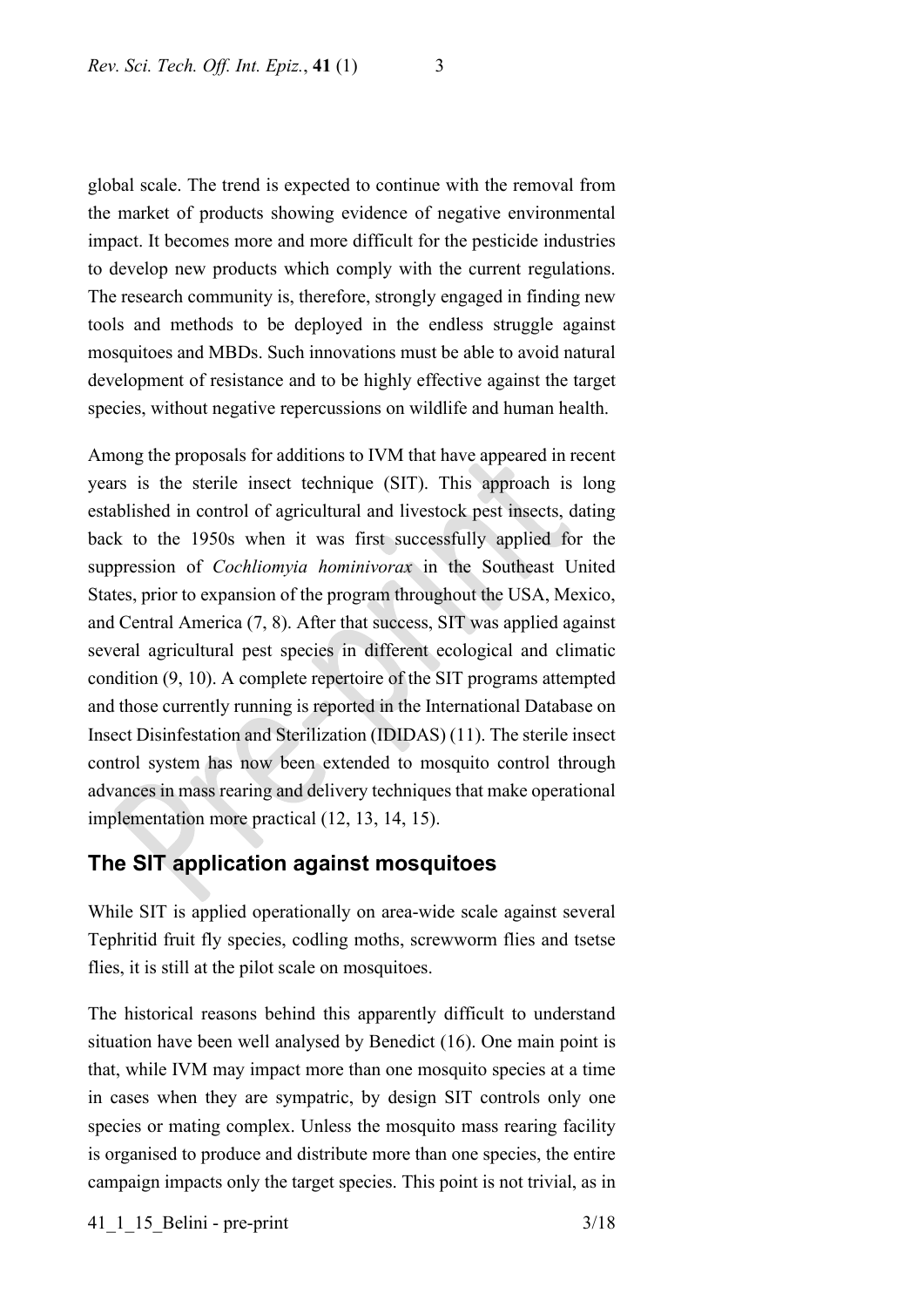global scale. The trend is expected to continue with the removal from the market of products showing evidence of negative environmental impact. It becomes more and more difficult for the pesticide industries to develop new products which comply with the current regulations. The research community is, therefore, strongly engaged in finding new tools and methods to be deployed in the endless struggle against mosquitoes and MBDs. Such innovations must be able to avoid natural development of resistance and to be highly effective against the target species, without negative repercussions on wildlife and human health.

Among the proposals for additions to IVM that have appeared in recent years is the sterile insect technique (SIT). This approach is long established in control of agricultural and livestock pest insects, dating back to the 1950s when it was first successfully applied for the suppression of *Cochliomyia hominivorax* in the Southeast United States, prior to expansion of the program throughout the USA, Mexico, and Central America (7, 8). After that success, SIT was applied against several agricultural pest species in different ecological and climatic condition (9, 10). A complete repertoire of the SIT programs attempted and those currently running is reported in the International Database on Insect Disinfestation and Sterilization (IDIDAS) (11). The sterile insect control system has now been extended to mosquito control through advances in mass rearing and delivery techniques that make operational implementation more practical (12, 13, 14, 15).

## **The SIT application against mosquitoes**

While SIT is applied operationally on area-wide scale against several Tephritid fruit fly species, codling moths, screwworm flies and tsetse flies, it is still at the pilot scale on mosquitoes.

The historical reasons behind this apparently difficult to understand situation have been well analysed by Benedict (16). One main point is that, while IVM may impact more than one mosquito species at a time in cases when they are sympatric, by design SIT controls only one species or mating complex. Unless the mosquito mass rearing facility is organised to produce and distribute more than one species, the entire campaign impacts only the target species. This point is not trivial, as in

41 1 15 Belini - pre-print 3/18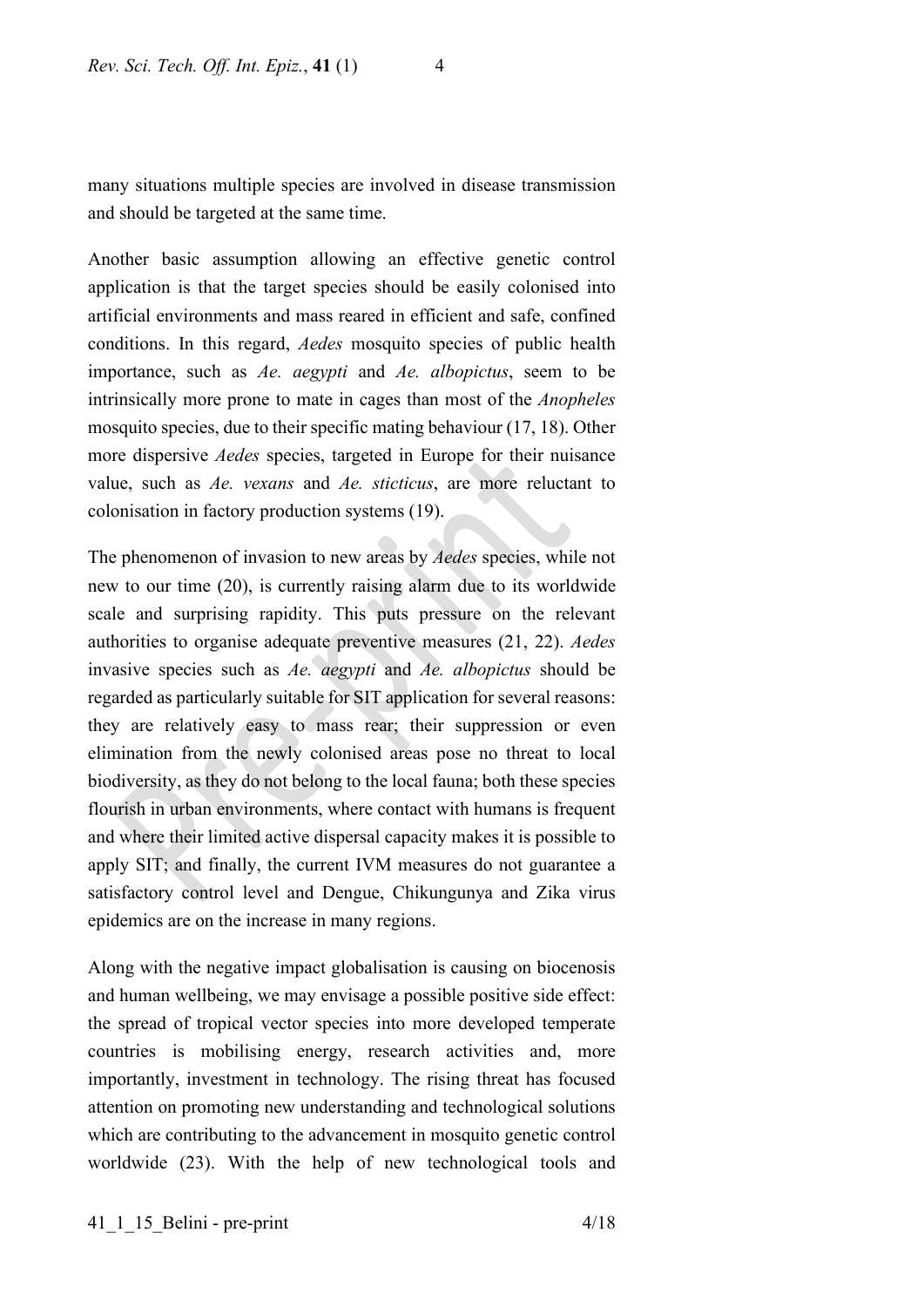many situations multiple species are involved in disease transmission and should be targeted at the same time.

Another basic assumption allowing an effective genetic control application is that the target species should be easily colonised into artificial environments and mass reared in efficient and safe, confined conditions. In this regard, *Aedes* mosquito species of public health importance, such as *Ae. aegypti* and *Ae. albopictus*, seem to be intrinsically more prone to mate in cages than most of the *Anopheles* mosquito species, due to their specific mating behaviour (17, 18). Other more dispersive *Aedes* species, targeted in Europe for their nuisance value, such as *Ae. vexans* and *Ae. sticticus*, are more reluctant to colonisation in factory production systems (19).

The phenomenon of invasion to new areas by *Aedes* species, while not new to our time (20), is currently raising alarm due to its worldwide scale and surprising rapidity. This puts pressure on the relevant authorities to organise adequate preventive measures (21, 22). *Aedes* invasive species such as *Ae. aegypti* and *Ae. albopictus* should be regarded as particularly suitable for SIT application for several reasons: they are relatively easy to mass rear; their suppression or even elimination from the newly colonised areas pose no threat to local biodiversity, as they do not belong to the local fauna; both these species flourish in urban environments, where contact with humans is frequent and where their limited active dispersal capacity makes it is possible to apply SIT; and finally, the current IVM measures do not guarantee a satisfactory control level and Dengue, Chikungunya and Zika virus epidemics are on the increase in many regions.

Along with the negative impact globalisation is causing on biocenosis and human wellbeing, we may envisage a possible positive side effect: the spread of tropical vector species into more developed temperate countries is mobilising energy, research activities and, more importantly, investment in technology. The rising threat has focused attention on promoting new understanding and technological solutions which are contributing to the advancement in mosquito genetic control worldwide (23). With the help of new technological tools and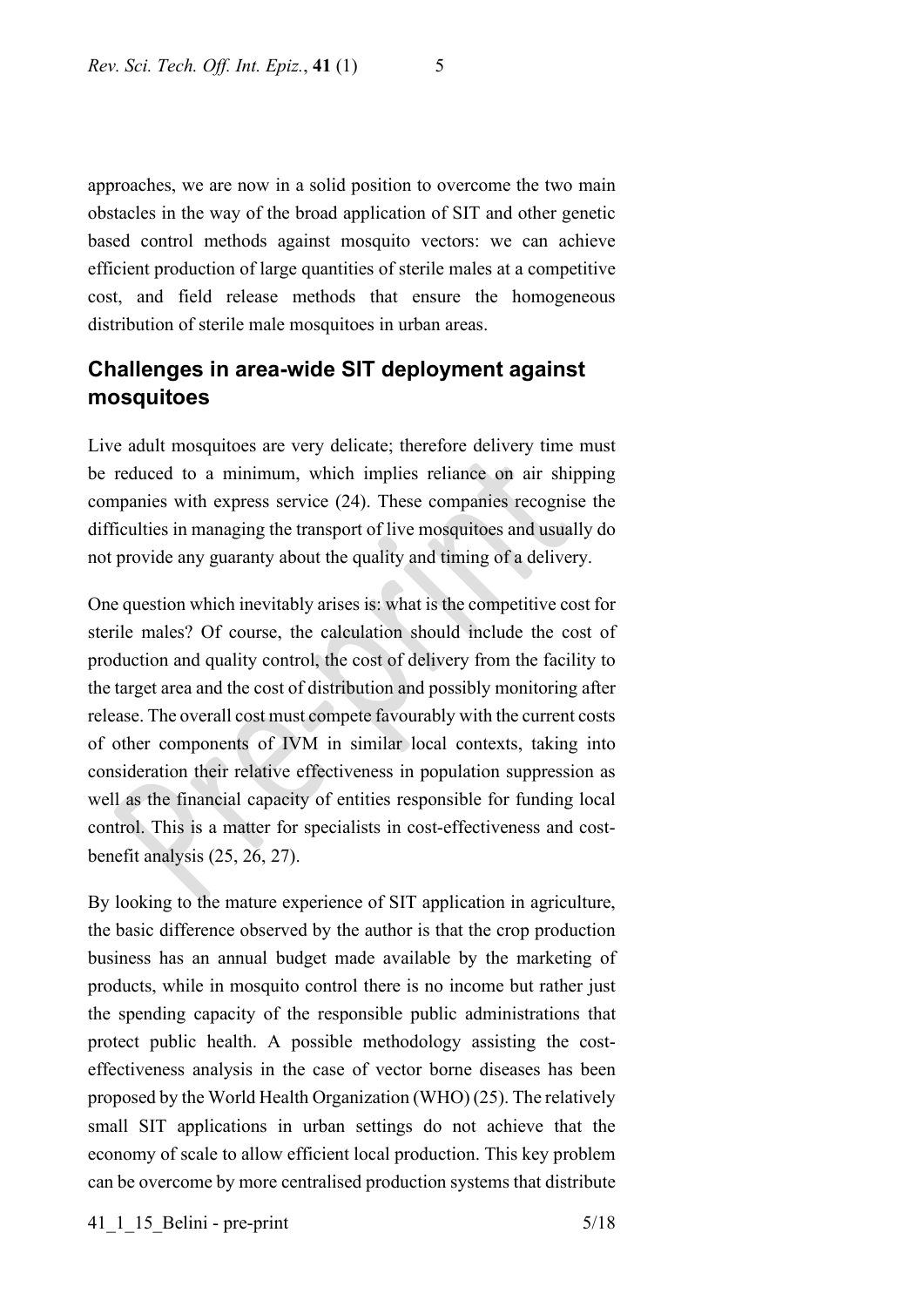approaches, we are now in a solid position to overcome the two main obstacles in the way of the broad application of SIT and other genetic based control methods against mosquito vectors: we can achieve efficient production of large quantities of sterile males at a competitive cost, and field release methods that ensure the homogeneous distribution of sterile male mosquitoes in urban areas.

# **Challenges in area-wide SIT deployment against mosquitoes**

Live adult mosquitoes are very delicate; therefore delivery time must be reduced to a minimum, which implies reliance on air shipping companies with express service (24). These companies recognise the difficulties in managing the transport of live mosquitoes and usually do not provide any guaranty about the quality and timing of a delivery.

One question which inevitably arises is: what is the competitive cost for sterile males? Of course, the calculation should include the cost of production and quality control, the cost of delivery from the facility to the target area and the cost of distribution and possibly monitoring after release. The overall cost must compete favourably with the current costs of other components of IVM in similar local contexts, taking into consideration their relative effectiveness in population suppression as well as the financial capacity of entities responsible for funding local control. This is a matter for specialists in cost-effectiveness and costbenefit analysis (25, 26, 27).

By looking to the mature experience of SIT application in agriculture, the basic difference observed by the author is that the crop production business has an annual budget made available by the marketing of products, while in mosquito control there is no income but rather just the spending capacity of the responsible public administrations that protect public health. A possible methodology assisting the costeffectiveness analysis in the case of vector borne diseases has been proposed by the World Health Organization (WHO) (25). The relatively small SIT applications in urban settings do not achieve that the economy of scale to allow efficient local production. This key problem can be overcome by more centralised production systems that distribute

41\_1\_15\_Belini - pre-print 5/18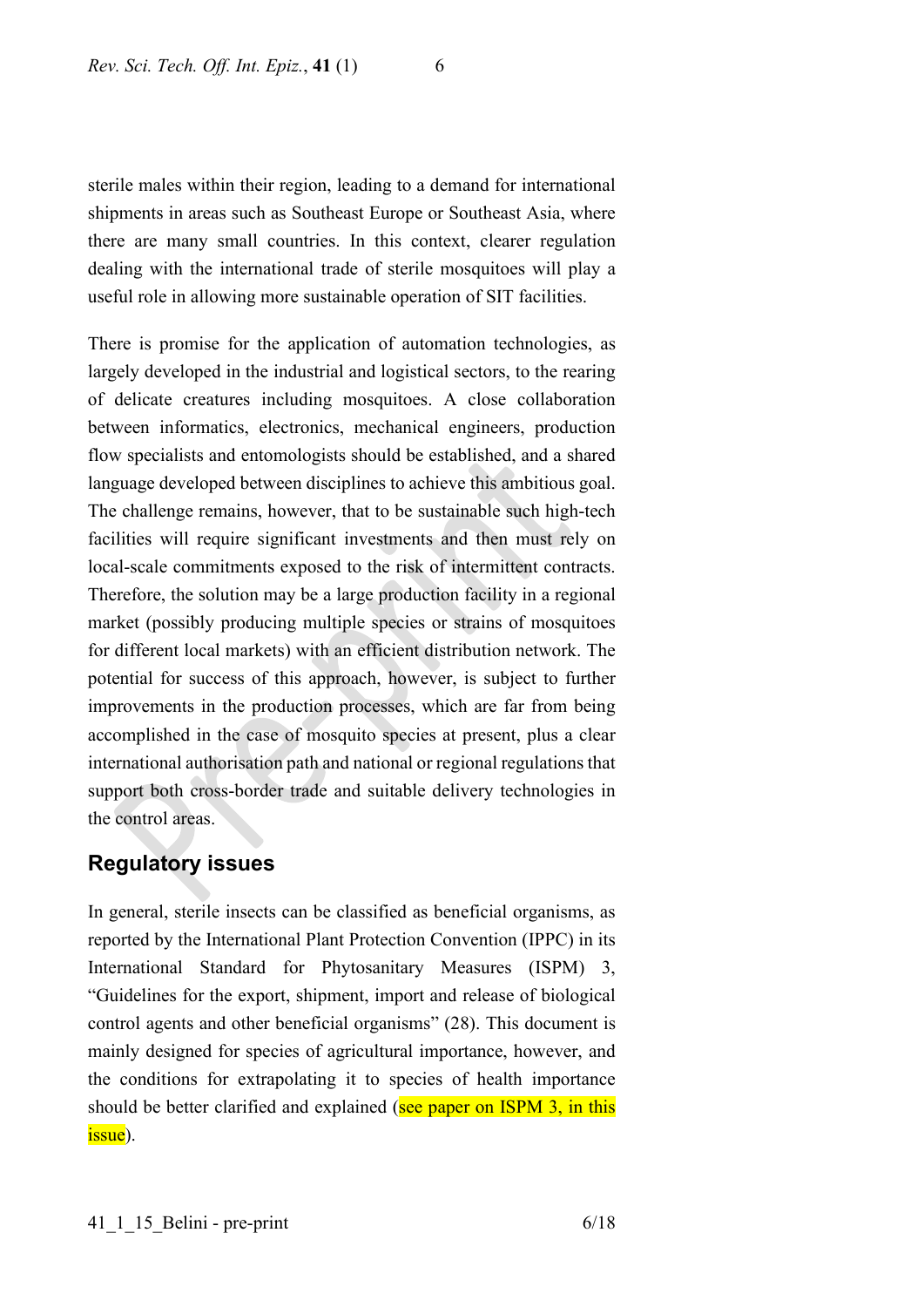sterile males within their region, leading to a demand for international shipments in areas such as Southeast Europe or Southeast Asia, where there are many small countries. In this context, clearer regulation dealing with the international trade of sterile mosquitoes will play a useful role in allowing more sustainable operation of SIT facilities.

There is promise for the application of automation technologies, as largely developed in the industrial and logistical sectors, to the rearing of delicate creatures including mosquitoes. A close collaboration between informatics, electronics, mechanical engineers, production flow specialists and entomologists should be established, and a shared language developed between disciplines to achieve this ambitious goal. The challenge remains, however, that to be sustainable such high-tech facilities will require significant investments and then must rely on local-scale commitments exposed to the risk of intermittent contracts. Therefore, the solution may be a large production facility in a regional market (possibly producing multiple species or strains of mosquitoes for different local markets) with an efficient distribution network. The potential for success of this approach, however, is subject to further improvements in the production processes, which are far from being accomplished in the case of mosquito species at present, plus a clear international authorisation path and national or regional regulations that support both cross-border trade and suitable delivery technologies in the control areas.

## **Regulatory issues**

In general, sterile insects can be classified as beneficial organisms, as reported by the International Plant Protection Convention (IPPC) in its International Standard for Phytosanitary Measures (ISPM) 3, "Guidelines for the export, shipment, import and release of biological control agents and other beneficial organisms" (28). This document is mainly designed for species of agricultural importance, however, and the conditions for extrapolating it to species of health importance should be better clarified and explained (see paper on ISPM 3, in this issue).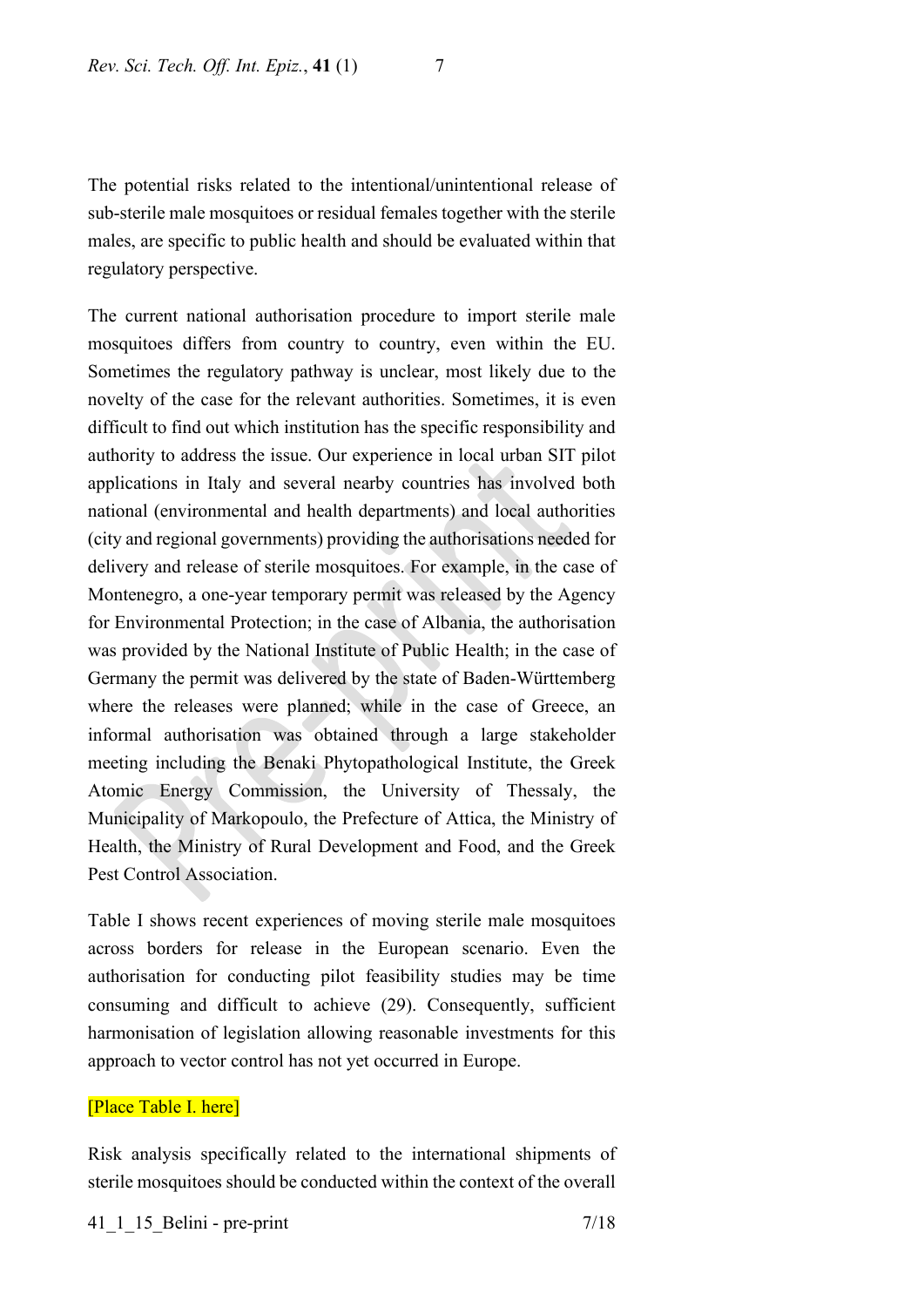The potential risks related to the intentional/unintentional release of sub-sterile male mosquitoes or residual females together with the sterile males, are specific to public health and should be evaluated within that regulatory perspective.

The current national authorisation procedure to import sterile male mosquitoes differs from country to country, even within the EU. Sometimes the regulatory pathway is unclear, most likely due to the novelty of the case for the relevant authorities. Sometimes, it is even difficult to find out which institution has the specific responsibility and authority to address the issue. Our experience in local urban SIT pilot applications in Italy and several nearby countries has involved both national (environmental and health departments) and local authorities (city and regional governments) providing the authorisations needed for delivery and release of sterile mosquitoes. For example, in the case of Montenegro, a one-year temporary permit was released by the Agency for Environmental Protection; in the case of Albania, the authorisation was provided by the National Institute of Public Health; in the case of Germany the permit was delivered by the state of Baden-Württemberg where the releases were planned; while in the case of Greece, an informal authorisation was obtained through a large stakeholder meeting including the Benaki Phytopathological Institute, the Greek Atomic Energy Commission, the University of Thessaly, the Municipality of Markopoulo, the Prefecture of Attica, the Ministry of Health, the Ministry of Rural Development and Food, and the Greek Pest Control Association.

Table I shows recent experiences of moving sterile male mosquitoes across borders for release in the European scenario. Even the authorisation for conducting pilot feasibility studies may be time consuming and difficult to achieve (29). Consequently, sufficient harmonisation of legislation allowing reasonable investments for this approach to vector control has not yet occurred in Europe.

#### [Place Table I. here]

Risk analysis specifically related to the international shipments of sterile mosquitoes should be conducted within the context of the overall

#### 41 1 15 Belini - pre-print 7/18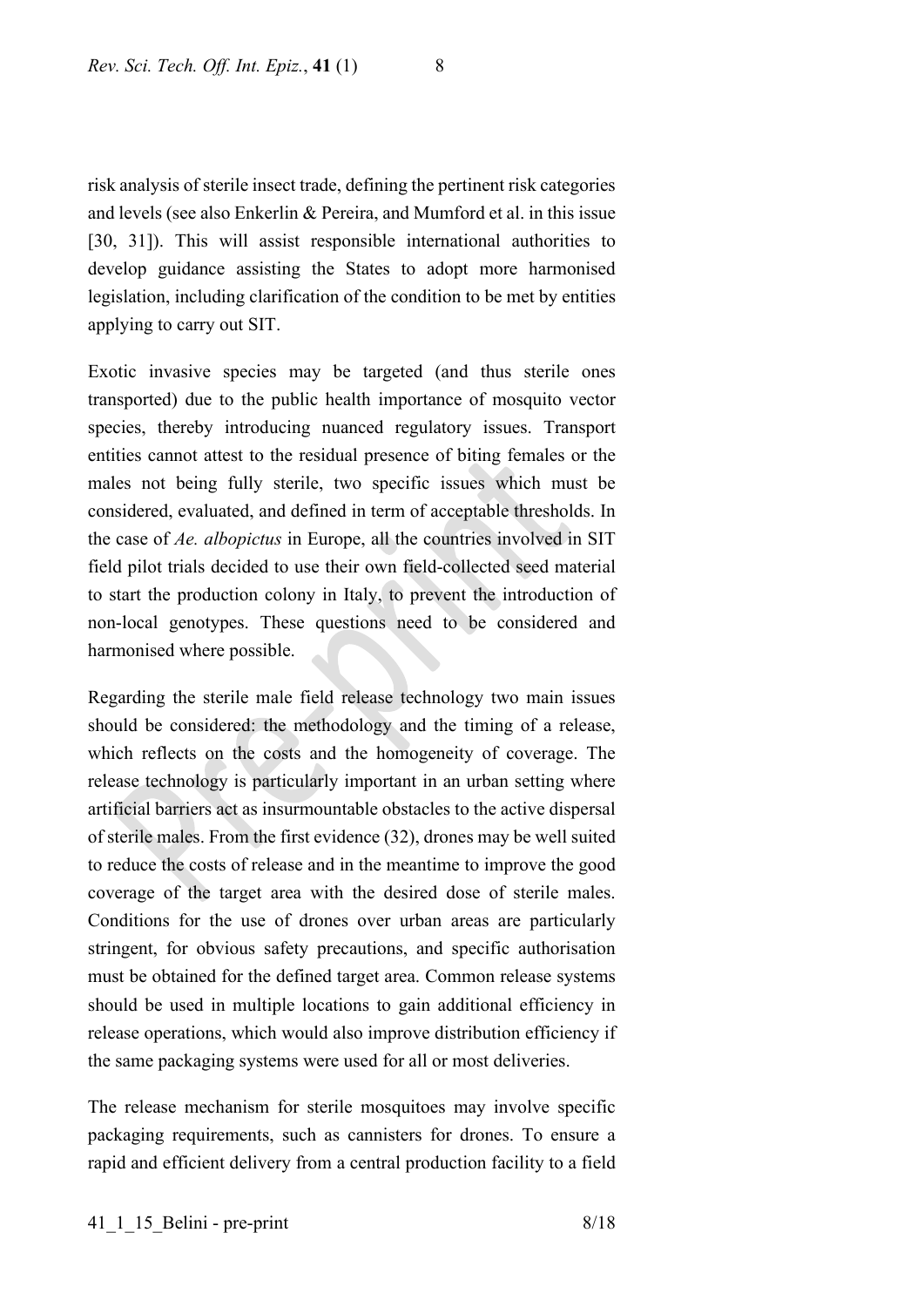risk analysis of sterile insect trade, defining the pertinent risk categories and levels (see also Enkerlin & Pereira, and Mumford et al. in this issue [30, 31]). This will assist responsible international authorities to develop guidance assisting the States to adopt more harmonised legislation, including clarification of the condition to be met by entities applying to carry out SIT.

Exotic invasive species may be targeted (and thus sterile ones transported) due to the public health importance of mosquito vector species, thereby introducing nuanced regulatory issues. Transport entities cannot attest to the residual presence of biting females or the males not being fully sterile, two specific issues which must be considered, evaluated, and defined in term of acceptable thresholds. In the case of *Ae. albopictus* in Europe, all the countries involved in SIT field pilot trials decided to use their own field-collected seed material to start the production colony in Italy, to prevent the introduction of non-local genotypes. These questions need to be considered and harmonised where possible.

Regarding the sterile male field release technology two main issues should be considered: the methodology and the timing of a release, which reflects on the costs and the homogeneity of coverage. The release technology is particularly important in an urban setting where artificial barriers act as insurmountable obstacles to the active dispersal of sterile males. From the first evidence (32), drones may be well suited to reduce the costs of release and in the meantime to improve the good coverage of the target area with the desired dose of sterile males. Conditions for the use of drones over urban areas are particularly stringent, for obvious safety precautions, and specific authorisation must be obtained for the defined target area. Common release systems should be used in multiple locations to gain additional efficiency in release operations, which would also improve distribution efficiency if the same packaging systems were used for all or most deliveries.

The release mechanism for sterile mosquitoes may involve specific packaging requirements, such as cannisters for drones. To ensure a rapid and efficient delivery from a central production facility to a field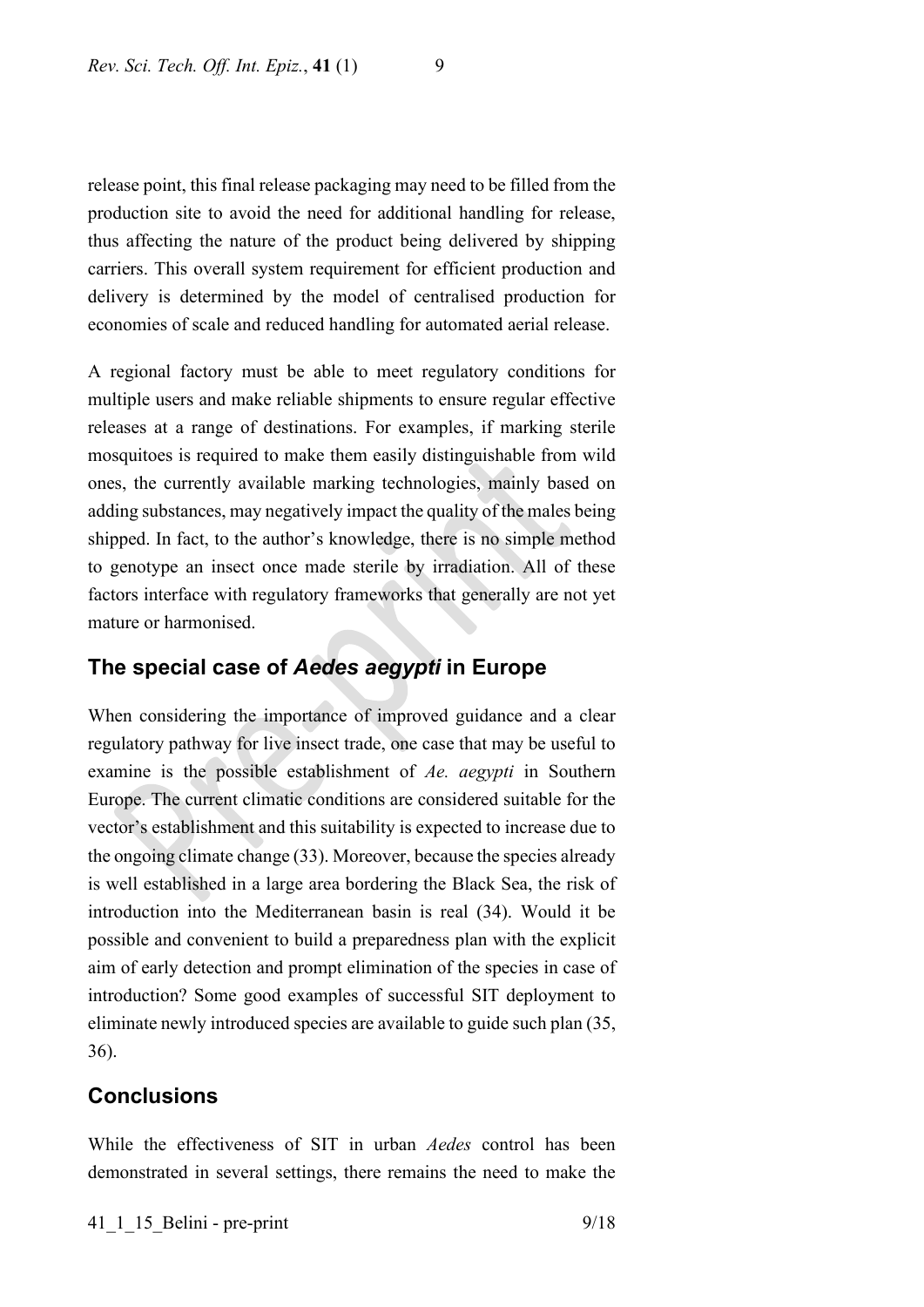release point, this final release packaging may need to be filled from the production site to avoid the need for additional handling for release, thus affecting the nature of the product being delivered by shipping carriers. This overall system requirement for efficient production and delivery is determined by the model of centralised production for economies of scale and reduced handling for automated aerial release.

A regional factory must be able to meet regulatory conditions for multiple users and make reliable shipments to ensure regular effective releases at a range of destinations. For examples, if marking sterile mosquitoes is required to make them easily distinguishable from wild ones, the currently available marking technologies, mainly based on adding substances, may negatively impact the quality of the males being shipped. In fact, to the author's knowledge, there is no simple method to genotype an insect once made sterile by irradiation. All of these factors interface with regulatory frameworks that generally are not yet mature or harmonised.

## **The special case of** *Aedes aegypti* **in Europe**

When considering the importance of improved guidance and a clear regulatory pathway for live insect trade, one case that may be useful to examine is the possible establishment of *Ae. aegypti* in Southern Europe. The current climatic conditions are considered suitable for the vector's establishment and this suitability is expected to increase due to the ongoing climate change (33). Moreover, because the species already is well established in a large area bordering the Black Sea, the risk of introduction into the Mediterranean basin is real (34). Would it be possible and convenient to build a preparedness plan with the explicit aim of early detection and prompt elimination of the species in case of introduction? Some good examples of successful SIT deployment to eliminate newly introduced species are available to guide such plan (35, 36).

## **Conclusions**

While the effectiveness of SIT in urban *Aedes* control has been demonstrated in several settings, there remains the need to make the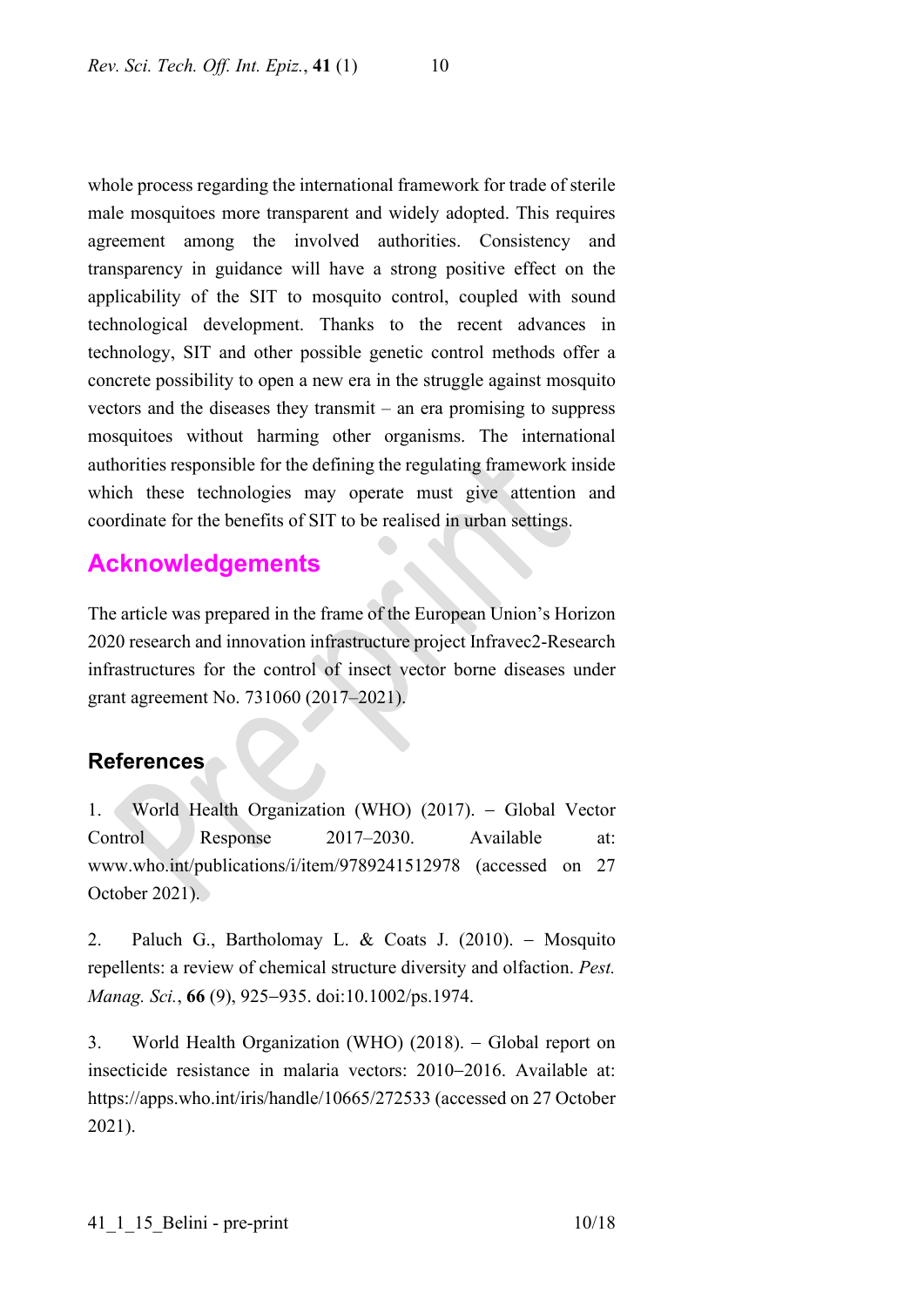whole process regarding the international framework for trade of sterile male mosquitoes more transparent and widely adopted. This requires agreement among the involved authorities. Consistency and transparency in guidance will have a strong positive effect on the applicability of the SIT to mosquito control, coupled with sound technological development. Thanks to the recent advances in technology, SIT and other possible genetic control methods offer a concrete possibility to open a new era in the struggle against mosquito vectors and the diseases they transmit – an era promising to suppress mosquitoes without harming other organisms. The international authorities responsible for the defining the regulating framework inside which these technologies may operate must give attention and coordinate for the benefits of SIT to be realised in urban settings.

# **Acknowledgements**

The article was prepared in the frame of the European Union's Horizon 2020 research and innovation infrastructure project Infravec2-Research infrastructures for the control of insect vector borne diseases under grant agreement No. 731060 (2017–2021).

# **References**

1. World Health Organization (WHO) (2017). − Global Vector Control Response 2017–2030. Available at: www.who.int/publications/i/item/9789241512978 (accessed on 27 October 2021).

2. Paluch G., Bartholomay L. & Coats J. (2010). − Mosquito repellents: a review of chemical structure diversity and olfaction. *Pest. Manag. Sci.*, **66** (9), 925−935. doi:10.1002/ps.1974.

3. World Health Organization (WHO) (2018). − Global report on insecticide resistance in malaria vectors: 2010−2016. Available at: https://apps.who.int/iris/handle/10665/272533 (accessed on 27 October 2021).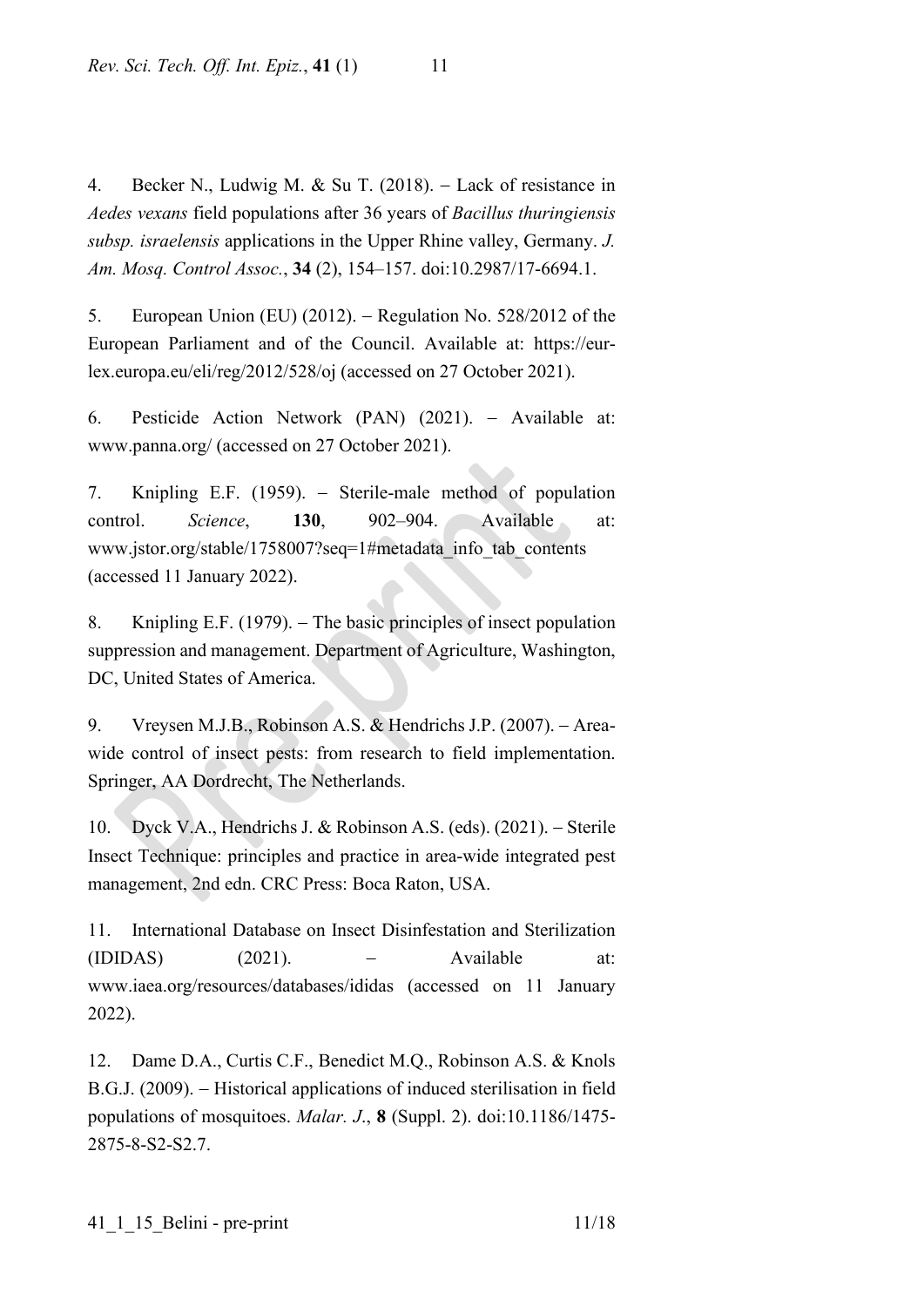4. Becker N., Ludwig M. & Su T. (2018). − Lack of resistance in *Aedes vexans* field populations after 36 years of *Bacillus thuringiensis subsp. israelensis* applications in the Upper Rhine valley, Germany. *J. Am. Mosq. Control Assoc.*, **34** (2), 154–157. doi:10.2987/17-6694.1.

5. European Union (EU) (2012). − Regulation No. 528/2012 of the European Parliament and of the Council. Available at: https://eurlex.europa.eu/eli/reg/2012/528/oj (accessed on 27 October 2021).

6. Pesticide Action Network (PAN) (2021). − Available at: www.panna.org/ (accessed on 27 October 2021).

7. Knipling E.F. (1959). − Sterile-male method of population control. *Science*, **130**, 902–904. Available at: www.jstor.org/stable/1758007?seq=1#metadata\_info\_tab\_contents (accessed 11 January 2022).

8. Knipling E.F. (1979). – The basic principles of insect population suppression and management. Department of Agriculture, Washington, DC, United States of America.

9. Vreysen M.J.B., Robinson A.S. & Hendrichs J.P. (2007). − Areawide control of insect pests: from research to field implementation. Springer, AA Dordrecht, The Netherlands.

10. Dyck V.A., Hendrichs J. & Robinson A.S. (eds). (2021). − Sterile Insect Technique: principles and practice in area-wide integrated pest management, 2nd edn. CRC Press: Boca Raton, USA.

11. International Database on Insect Disinfestation and Sterilization  $(IDIDAS)$   $(2021)$ .  $-$  Available at: www.iaea.org/resources/databases/ididas (accessed on 11 January 2022).

12. Dame D.A., Curtis C.F., Benedict M.Q., Robinson A.S. & Knols B.G.J. (2009). – Historical applications of induced sterilisation in field populations of mosquitoes. *Malar. J*., **8** (Suppl. 2). doi:10.1186/1475- 2875-8-S2-S2.7.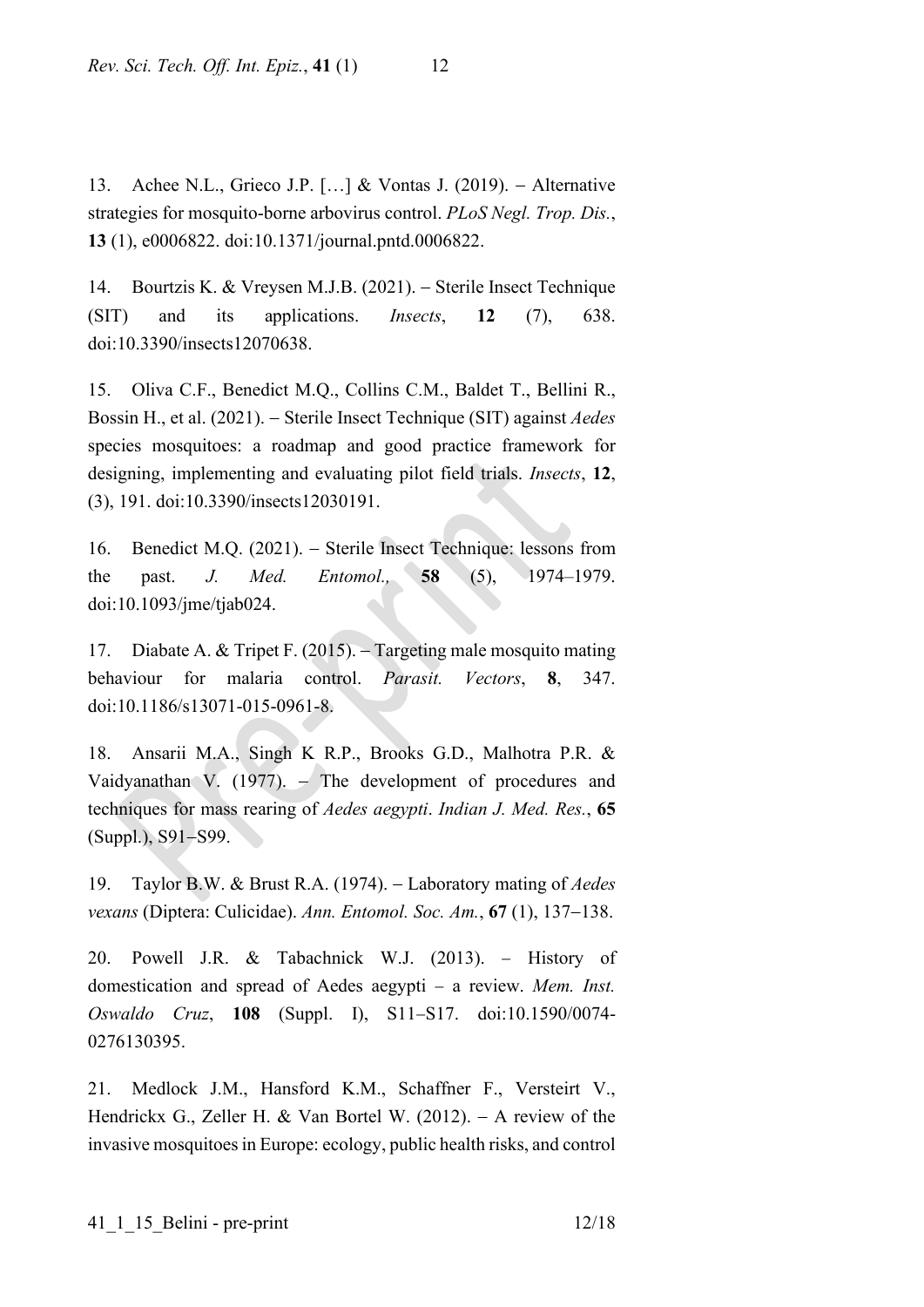13. Achee N.L., Grieco J.P. […] & Vontas J. (2019). − Alternative strategies for mosquito-borne arbovirus control. *PLoS Negl. Trop. Dis.*, **13** (1), e0006822. doi:10.1371/journal.pntd.0006822.

14. Bourtzis K. & Vreysen M.J.B. (2021). − Sterile Insect Technique (SIT) and its applications. *Insects*, **12** (7), 638. doi:10.3390/insects12070638.

15. Oliva C.F., Benedict M.Q., Collins C.M., Baldet T., Bellini R., Bossin H., et al. (2021). − Sterile Insect Technique (SIT) against *Aedes*  species mosquitoes: a roadmap and good practice framework for designing, implementing and evaluating pilot field trials. *Insects*, **12**, (3), 191. doi:10.3390/insects12030191.

16. Benedict M.Q. (2021). − Sterile Insect Technique: lessons from the past. *J. Med. Entomol.,* **58** (5), 1974–1979. doi:10.1093/jme/tjab024.

17. Diabate A. & Tripet F. (2015). − Targeting male mosquito mating behaviour for malaria control. *Parasit. Vectors*, **8**, 347. doi:10.1186/s13071-015-0961-8.

18. Ansarii M.A., Singh K R.P., Brooks G.D., Malhotra P.R. & Vaidyanathan V. (1977). − The development of procedures and techniques for mass rearing of *Aedes aegypti*. *Indian J. Med. Res.*, **65** (Suppl.), S91−S99.

19. Taylor B.W. & Brust R.A. (1974). − Laboratory mating of *Aedes vexans* (Diptera: Culicidae). *Ann. Entomol. Soc. Am.*, **67** (1), 137−138.

20. Powell J.R. & Tabachnick W.J. (2013). − History of domestication and spread of Aedes aegypti − a review. *Mem. Inst. Oswaldo Cruz*, **108** (Suppl. I), S11−S17. doi:10.1590/0074- 0276130395.

21. Medlock J.M., Hansford K.M., Schaffner F., Versteirt V., Hendrickx G., Zeller H. & Van Bortel W. (2012). − A review of the invasive mosquitoes in Europe: ecology, public health risks, and control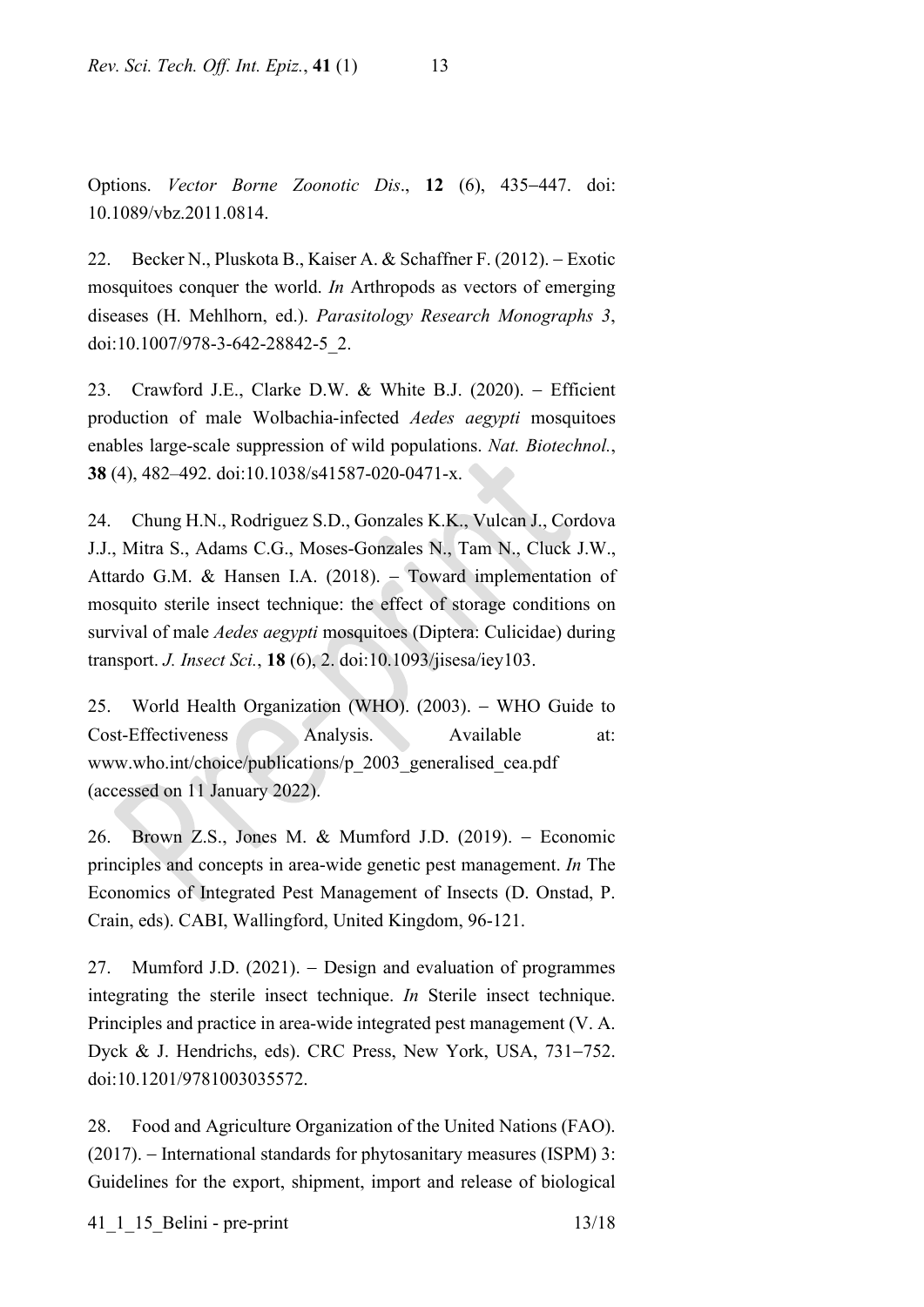Options. *Vector Borne Zoonotic Dis*., **12** (6), 435−447. doi: 10.1089/vbz.2011.0814.

22. Becker N., Pluskota B., Kaiser A. & Schaffner F. (2012). − Exotic mosquitoes conquer the world. *In* Arthropods as vectors of emerging diseases (H. Mehlhorn, ed.). *Parasitology Research Monographs 3*, doi:10.1007/978-3-642-28842-5\_2.

23. Crawford J.E., Clarke D.W. & White B.J. (2020). − Efficient production of male Wolbachia-infected *Aedes aegypti* mosquitoes enables large-scale suppression of wild populations. *Nat. Biotechnol.*, **38** (4), 482–492. doi:10.1038/s41587-020-0471-x.

24. Chung H.N., Rodriguez S.D., Gonzales K.K., Vulcan J., Cordova J.J., Mitra S., Adams C.G., Moses-Gonzales N., Tam N., Cluck J.W., Attardo G.M. & Hansen I.A. (2018). − Toward implementation of mosquito sterile insect technique: the effect of storage conditions on survival of male *Aedes aegypti* mosquitoes (Diptera: Culicidae) during transport. *J. Insect Sci.*, **18** (6), 2. doi:10.1093/jisesa/iey103.

25. World Health Organization (WHO). (2003). − WHO Guide to Cost-Effectiveness Analysis. Available at: www.who.int/choice/publications/p\_2003\_generalised\_cea.pdf (accessed on 11 January 2022).

26. Brown Z.S., Jones M. & Mumford J.D. (2019). − Economic principles and concepts in area-wide genetic pest management. *In* The Economics of Integrated Pest Management of Insects (D. Onstad, P. Crain, eds). CABI, Wallingford, United Kingdom, 96-121.

27. Mumford J.D. (2021). − Design and evaluation of programmes integrating the sterile insect technique. *In* Sterile insect technique. Principles and practice in area-wide integrated pest management (V. A. Dyck & J. Hendrichs, eds). CRC Press, New York, USA, 731−752. doi:10.1201/9781003035572.

28. Food and Agriculture Organization of the United Nations (FAO). (2017). − International standards for phytosanitary measures (ISPM) 3: Guidelines for the export, shipment, import and release of biological

41 1 15 Belini - pre-print 13/18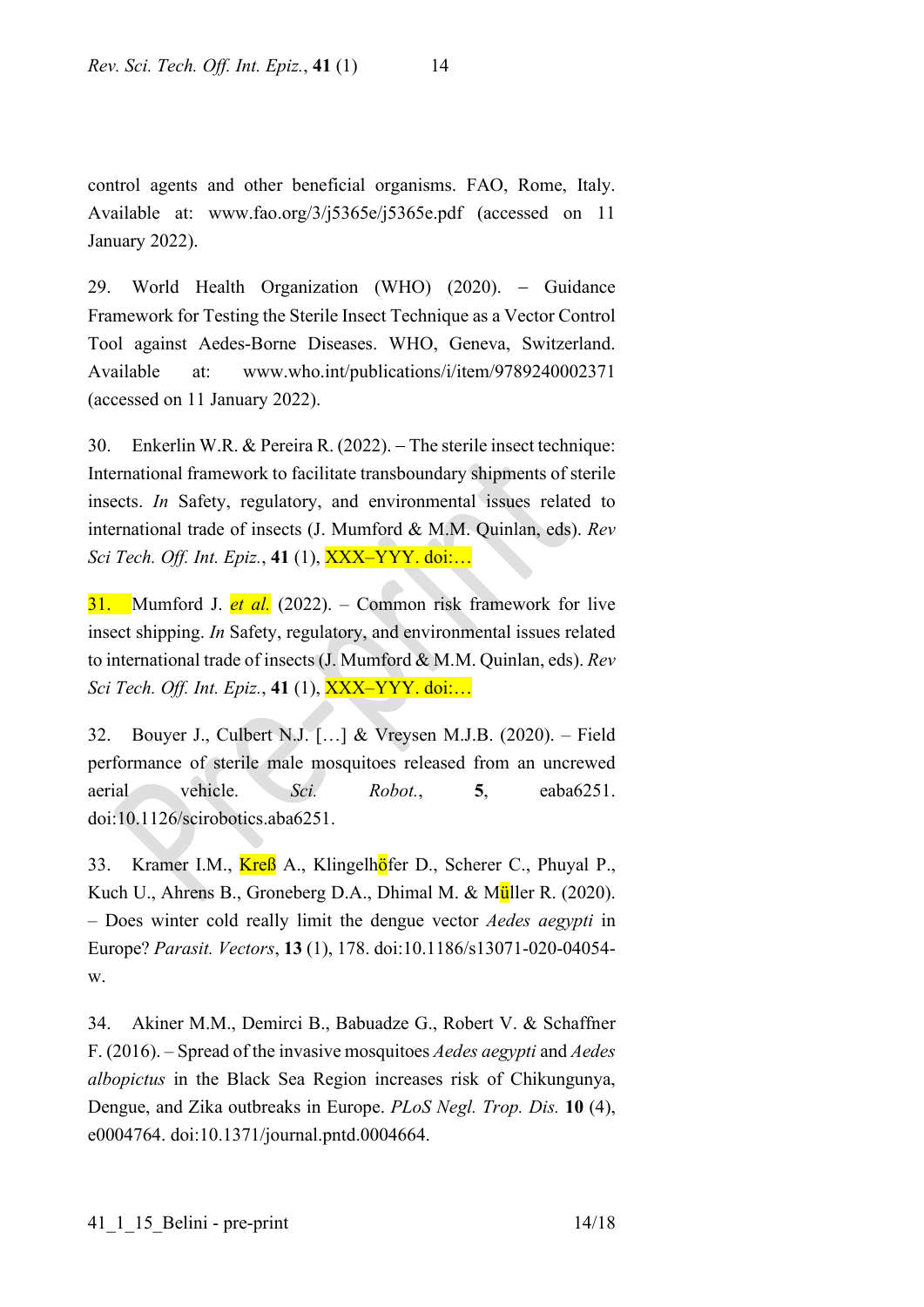control agents and other beneficial organisms. FAO, Rome, Italy. Available at: www.fao.org/3/j5365e/j5365e.pdf (accessed on 11 January 2022).

29. World Health Organization (WHO) (2020). − Guidance Framework for Testing the Sterile Insect Technique as a Vector Control Tool against Aedes-Borne Diseases. WHO, Geneva, Switzerland. Available at: www.who.int/publications/i/item/9789240002371 (accessed on 11 January 2022).

30. Enkerlin W.R. & Pereira R. (2022). − The sterile insect technique: International framework to facilitate transboundary shipments of sterile insects. *In* Safety, regulatory, and environmental issues related to international trade of insects (J. Mumford & M.M. Quinlan, eds). *Rev Sci Tech. Off. Int. Epiz.*, **41** (1), XXX–YYY. doi:…

31. Mumford J. *et al.* (2022). – Common risk framework for live insect shipping. *In* Safety, regulatory, and environmental issues related to international trade of insects (J. Mumford & M.M. Quinlan, eds). *Rev Sci Tech. Off. Int. Epiz.*, **41** (1), XXX–YYY. doi:…

32. Bouyer J., Culbert N.J. […] & Vreysen M.J.B. (2020). – Field performance of sterile male mosquitoes released from an uncrewed aerial vehicle. *Sci. Robot.*, **5**, eaba6251. doi:10.1126/scirobotics.aba6251.

33. Kramer I.M., Kreß A., Klingelhöfer D., Scherer C., Phuyal P., Kuch U., Ahrens B., Groneberg D.A., Dhimal M. & Müller R. (2020). – Does winter cold really limit the dengue vector *Aedes aegypti* in Europe? *Parasit. Vectors*, **13** (1), 178. doi:10.1186/s13071-020-04054 w.

34. Akiner M.M., Demirci B., Babuadze G., Robert V. & Schaffner F. (2016). – Spread of the invasive mosquitoes *Aedes aegypti* and *Aedes albopictus* in the Black Sea Region increases risk of Chikungunya, Dengue, and Zika outbreaks in Europe. *PLoS Negl. Trop. Dis.* **10** (4), e0004764. doi:10.1371/journal.pntd.0004664.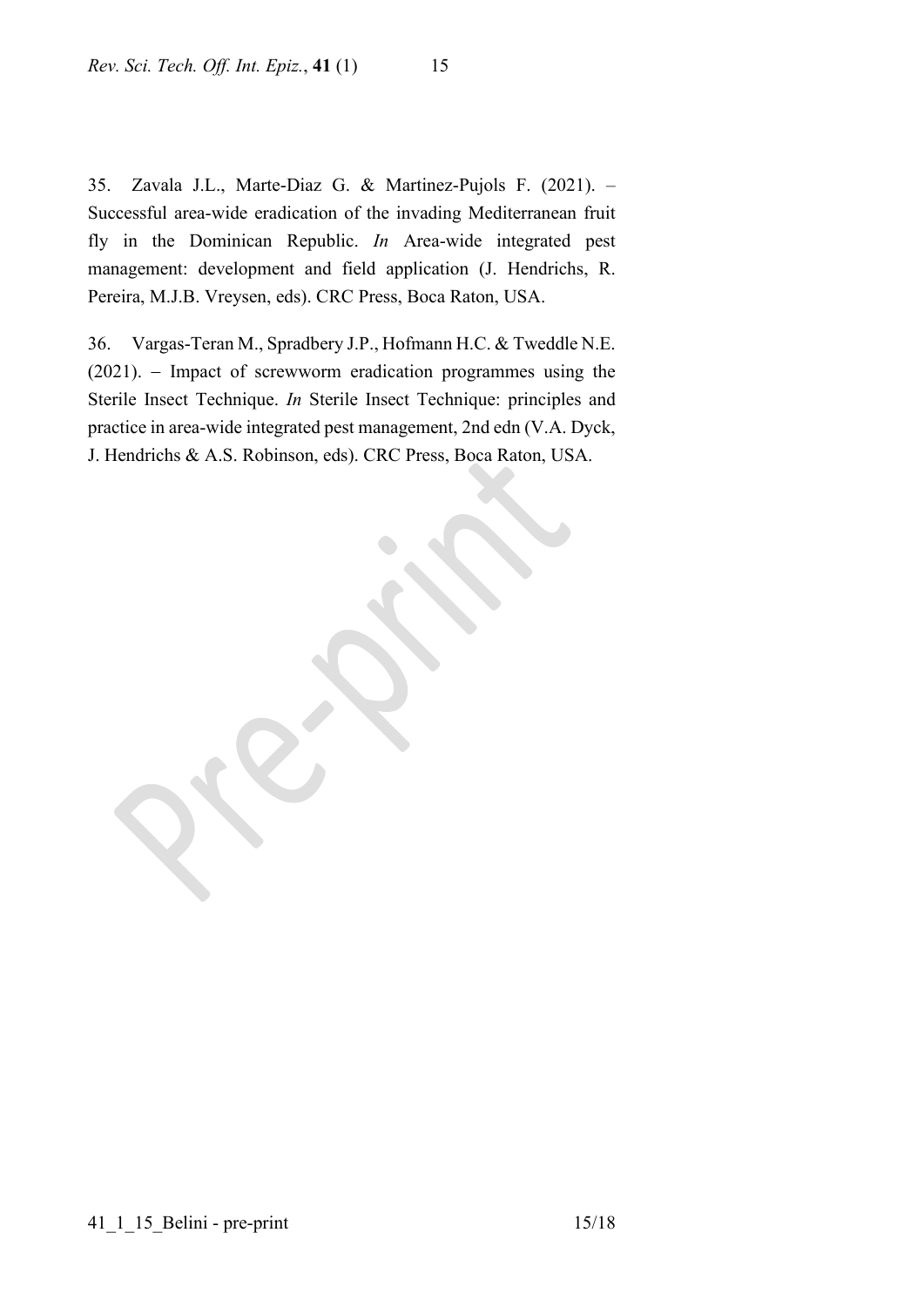35. Zavala J.L., Marte-Diaz G. & Martinez-Pujols F. (2021). – Successful area-wide eradication of the invading Mediterranean fruit fly in the Dominican Republic. *In* Area-wide integrated pest management: development and field application (J. Hendrichs, R. Pereira, M.J.B. Vreysen, eds). CRC Press, Boca Raton, USA.

36. Vargas-Teran M., Spradbery J.P., Hofmann H.C. & Tweddle N.E. (2021). − Impact of screwworm eradication programmes using the Sterile Insect Technique. *In* Sterile Insect Technique: principles and practice in area-wide integrated pest management, 2nd edn (V.A. Dyck, J. Hendrichs & A.S. Robinson, eds). CRC Press, Boca Raton, USA.

41\_1\_15\_Belini - pre-print 15/18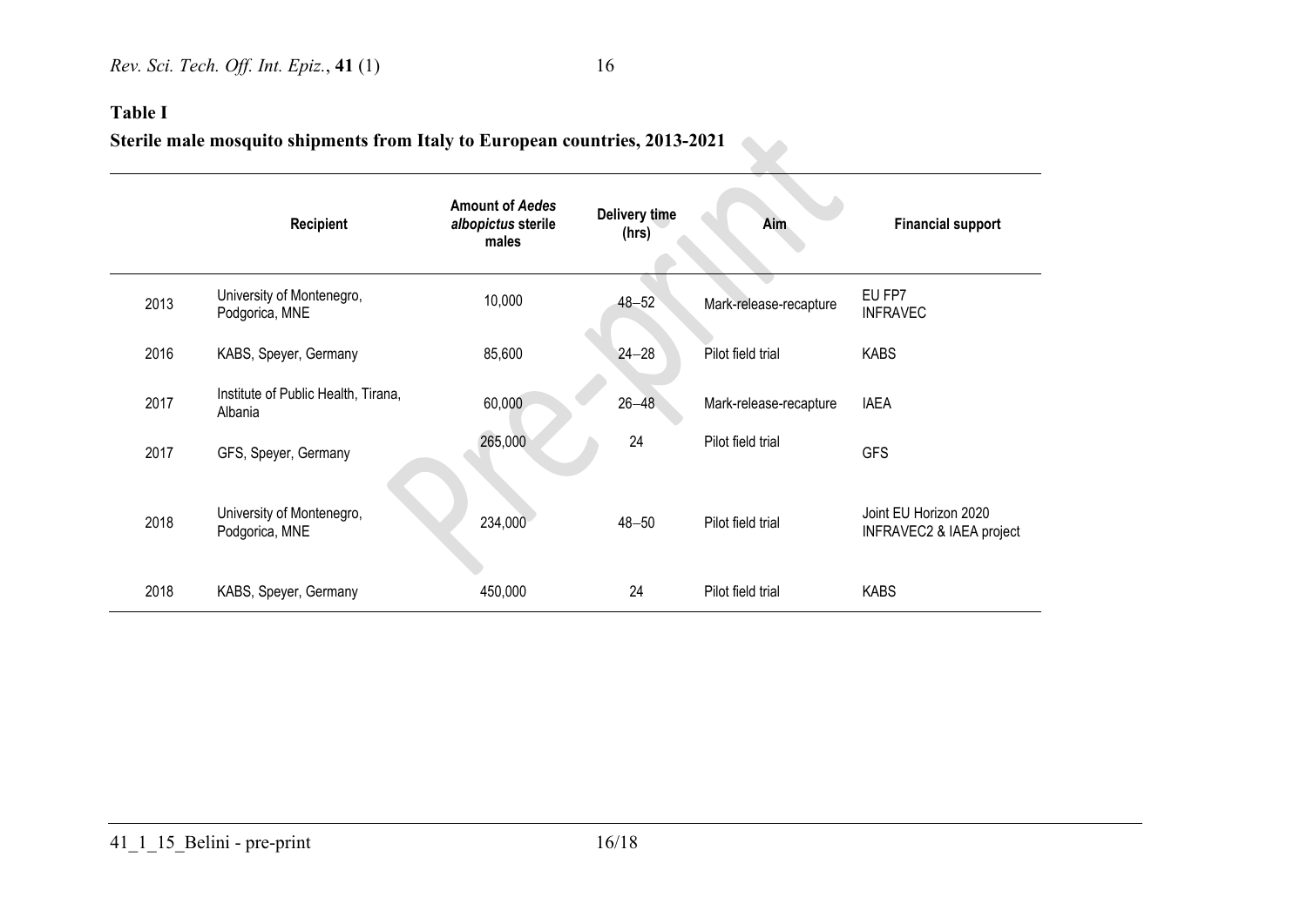## **Table I**

# **Sterile male mosquito shipments from Italy to European countries, 2013-2021**

|      | <b>Recipient</b>                               | <b>Amount of Aedes</b><br>albopictus sterile<br>males | Delivery time<br>(hrs) | <b>Aim</b>             | <b>Financial support</b>                          |
|------|------------------------------------------------|-------------------------------------------------------|------------------------|------------------------|---------------------------------------------------|
| 2013 | University of Montenegro,<br>Podgorica, MNE    | 10,000                                                | $48 - 52$              | Mark-release-recapture | EU FP7<br><b>INFRAVEC</b>                         |
| 2016 | KABS, Speyer, Germany                          | 85,600                                                | $24 - 28$              | Pilot field trial      | <b>KABS</b>                                       |
| 2017 | Institute of Public Health, Tirana,<br>Albania | 60,000                                                | $26 - 48$              | Mark-release-recapture | <b>IAEA</b>                                       |
| 2017 | GFS, Speyer, Germany                           | 265,000                                               | 24                     | Pilot field trial      | <b>GFS</b>                                        |
| 2018 | University of Montenegro,<br>Podgorica, MNE    | 234,000                                               | $48 - 50$              | Pilot field trial      | Joint EU Horizon 2020<br>INFRAVEC2 & IAEA project |
| 2018 | KABS, Speyer, Germany                          | 450,000                                               | 24                     | Pilot field trial      | <b>KABS</b>                                       |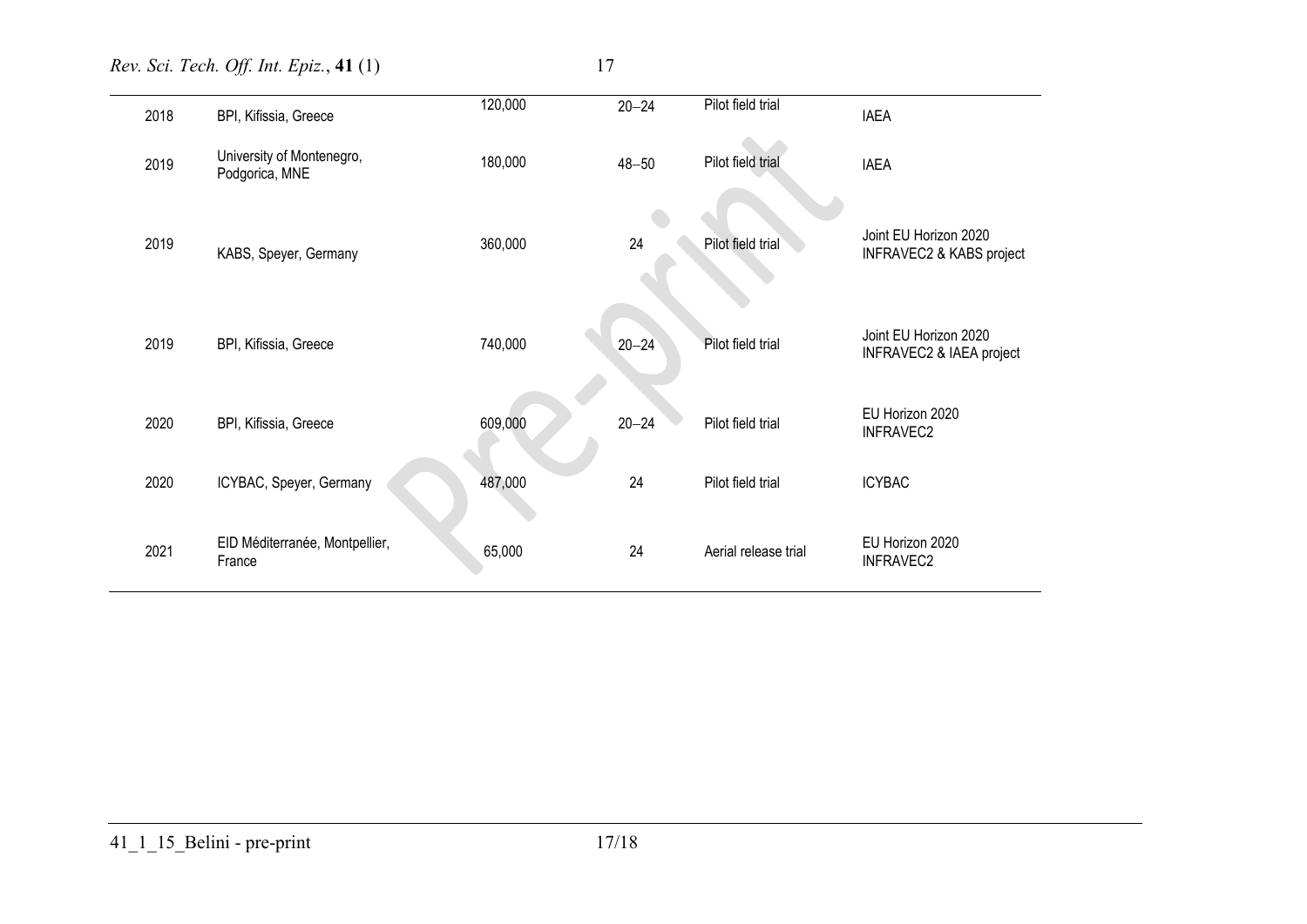*Rev. Sci. Tech. Off. Int. Epiz.*, **41** (1) 17

|  | I |
|--|---|
|  |   |
|  |   |
|  |   |

| 2018 | BPI, Kifissia, Greece                       | 120,000 | $20 - 24$ | Pilot field trial    | <b>IAEA</b>                                       |
|------|---------------------------------------------|---------|-----------|----------------------|---------------------------------------------------|
| 2019 | University of Montenegro,<br>Podgorica, MNE | 180,000 | $48 - 50$ | Pilot field trial    | <b>IAEA</b>                                       |
| 2019 | KABS, Speyer, Germany                       | 360,000 | 24        | Pilot field trial    | Joint EU Horizon 2020<br>INFRAVEC2 & KABS project |
| 2019 | BPI, Kifissia, Greece                       | 740,000 | $20 - 24$ | Pilot field trial    | Joint EU Horizon 2020<br>INFRAVEC2 & IAEA project |
| 2020 | BPI, Kifissia, Greece                       | 609,000 | $20 - 24$ | Pilot field trial    | EU Horizon 2020<br>INFRAVEC2                      |
| 2020 | ICYBAC, Speyer, Germany                     | 487,000 | 24        | Pilot field trial    | <b>ICYBAC</b>                                     |
| 2021 | EID Méditerranée, Montpellier,<br>France    | 65,000  | 24        | Aerial release trial | EU Horizon 2020<br><b>INFRAVEC2</b>               |